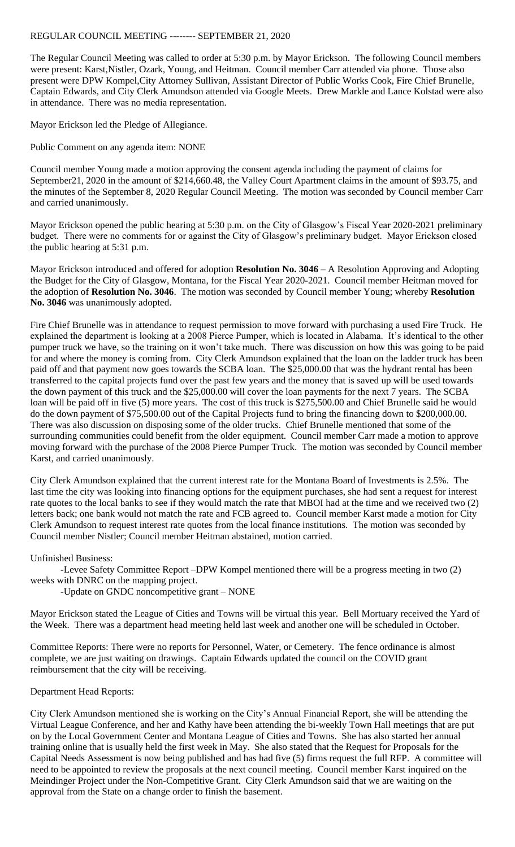## REGULAR COUNCIL MEETING -------- SEPTEMBER 21, 2020

The Regular Council Meeting was called to order at 5:30 p.m. by Mayor Erickson. The following Council members were present: Karst,Nistler, Ozark, Young, and Heitman. Council member Carr attended via phone. Those also present were DPW Kompel,City Attorney Sullivan, Assistant Director of Public Works Cook, Fire Chief Brunelle, Captain Edwards, and City Clerk Amundson attended via Google Meets. Drew Markle and Lance Kolstad were also in attendance. There was no media representation.

Mayor Erickson led the Pledge of Allegiance.

Public Comment on any agenda item: NONE

Council member Young made a motion approving the consent agenda including the payment of claims for September21, 2020 in the amount of \$214,660.48, the Valley Court Apartment claims in the amount of \$93.75, and the minutes of the September 8, 2020 Regular Council Meeting. The motion was seconded by Council member Carr and carried unanimously.

Mayor Erickson opened the public hearing at 5:30 p.m. on the City of Glasgow's Fiscal Year 2020-2021 preliminary budget. There were no comments for or against the City of Glasgow's preliminary budget. Mayor Erickson closed the public hearing at 5:31 p.m.

Mayor Erickson introduced and offered for adoption **Resolution No. 3046** – A Resolution Approving and Adopting the Budget for the City of Glasgow, Montana, for the Fiscal Year 2020-2021. Council member Heitman moved for the adoption of **Resolution No. 3046**. The motion was seconded by Council member Young; whereby **Resolution No. 3046** was unanimously adopted.

Fire Chief Brunelle was in attendance to request permission to move forward with purchasing a used Fire Truck. He explained the department is looking at a 2008 Pierce Pumper, which is located in Alabama. It's identical to the other pumper truck we have, so the training on it won't take much. There was discussion on how this was going to be paid for and where the money is coming from. City Clerk Amundson explained that the loan on the ladder truck has been paid off and that payment now goes towards the SCBA loan. The \$25,000.00 that was the hydrant rental has been transferred to the capital projects fund over the past few years and the money that is saved up will be used towards the down payment of this truck and the \$25,000.00 will cover the loan payments for the next 7 years. The SCBA loan will be paid off in five (5) more years. The cost of this truck is \$275,500.00 and Chief Brunelle said he would do the down payment of \$75,500.00 out of the Capital Projects fund to bring the financing down to \$200,000.00. There was also discussion on disposing some of the older trucks. Chief Brunelle mentioned that some of the surrounding communities could benefit from the older equipment. Council member Carr made a motion to approve moving forward with the purchase of the 2008 Pierce Pumper Truck. The motion was seconded by Council member Karst, and carried unanimously.

City Clerk Amundson explained that the current interest rate for the Montana Board of Investments is 2.5%. The last time the city was looking into financing options for the equipment purchases, she had sent a request for interest rate quotes to the local banks to see if they would match the rate that MBOI had at the time and we received two (2) letters back; one bank would not match the rate and FCB agreed to. Council member Karst made a motion for City Clerk Amundson to request interest rate quotes from the local finance institutions. The motion was seconded by Council member Nistler; Council member Heitman abstained, motion carried.

Unfinished Business:

-Levee Safety Committee Report –DPW Kompel mentioned there will be a progress meeting in two (2) weeks with DNRC on the mapping project.

-Update on GNDC noncompetitive grant – NONE

Mayor Erickson stated the League of Cities and Towns will be virtual this year. Bell Mortuary received the Yard of the Week. There was a department head meeting held last week and another one will be scheduled in October.

Committee Reports: There were no reports for Personnel, Water, or Cemetery. The fence ordinance is almost complete, we are just waiting on drawings. Captain Edwards updated the council on the COVID grant reimbursement that the city will be receiving.

## Department Head Reports:

City Clerk Amundson mentioned she is working on the City's Annual Financial Report, she will be attending the Virtual League Conference, and her and Kathy have been attending the bi-weekly Town Hall meetings that are put on by the Local Government Center and Montana League of Cities and Towns. She has also started her annual training online that is usually held the first week in May. She also stated that the Request for Proposals for the Capital Needs Assessment is now being published and has had five (5) firms request the full RFP. A committee will need to be appointed to review the proposals at the next council meeting. Council member Karst inquired on the Meindinger Project under the Non-Competitive Grant. City Clerk Amundson said that we are waiting on the approval from the State on a change order to finish the basement.